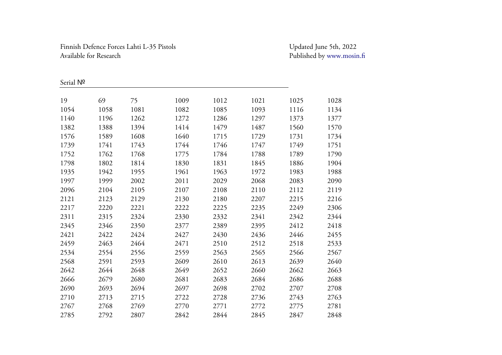## Finnish Defence Forces Lahti L-35 Pistols Updated June 5th, 2022 Available for Research

## Published by [www.mosin.fi](http://www.mosin.fi/)

Serial №

| , ، ، ، ، ، ، ، |      |      |      |      |      |      |      |
|-----------------|------|------|------|------|------|------|------|
| 19              | 69   | 75   | 1009 | 1012 | 1021 | 1025 | 1028 |
| 1054            | 1058 | 1081 | 1082 | 1085 | 1093 | 1116 | 1134 |
| 1140            | 1196 | 1262 | 1272 | 1286 | 1297 | 1373 | 1377 |
| 1382            | 1388 | 1394 | 1414 | 1479 | 1487 | 1560 | 1570 |
| 1576            | 1589 | 1608 | 1640 | 1715 | 1729 | 1731 | 1734 |
| 1739            | 1741 | 1743 | 1744 | 1746 | 1747 | 1749 | 1751 |
| 1752            | 1762 | 1768 | 1775 | 1784 | 1788 | 1789 | 1790 |
| 1798            | 1802 | 1814 | 1830 | 1831 | 1845 | 1886 | 1904 |
| 1935            | 1942 | 1955 | 1961 | 1963 | 1972 | 1983 | 1988 |
| 1997            | 1999 | 2002 | 2011 | 2029 | 2068 | 2083 | 2090 |
| 2096            | 2104 | 2105 | 2107 | 2108 | 2110 | 2112 | 2119 |
| 2121            | 2123 | 2129 | 2130 | 2180 | 2207 | 2215 | 2216 |
| 2217            | 2220 | 2221 | 2222 | 2225 | 2235 | 2249 | 2306 |
| 2311            | 2315 | 2324 | 2330 | 2332 | 2341 | 2342 | 2344 |
| 2345            | 2346 | 2350 | 2377 | 2389 | 2395 | 2412 | 2418 |
| 2421            | 2422 | 2424 | 2427 | 2430 | 2436 | 2446 | 2455 |
| 2459            | 2463 | 2464 | 2471 | 2510 | 2512 | 2518 | 2533 |
| 2534            | 2554 | 2556 | 2559 | 2563 | 2565 | 2566 | 2567 |
| 2568            | 2591 | 2593 | 2609 | 2610 | 2613 | 2639 | 2640 |
| 2642            | 2644 | 2648 | 2649 | 2652 | 2660 | 2662 | 2663 |
| 2666            | 2679 | 2680 | 2681 | 2683 | 2684 | 2686 | 2688 |
| 2690            | 2693 | 2694 | 2697 | 2698 | 2702 | 2707 | 2708 |
| 2710            | 2713 | 2715 | 2722 | 2728 | 2736 | 2743 | 2763 |
| 2767            | 2768 | 2769 | 2770 | 2771 | 2772 | 2775 | 2781 |
| 2785            | 2792 | 2807 | 2842 | 2844 | 2845 | 2847 | 2848 |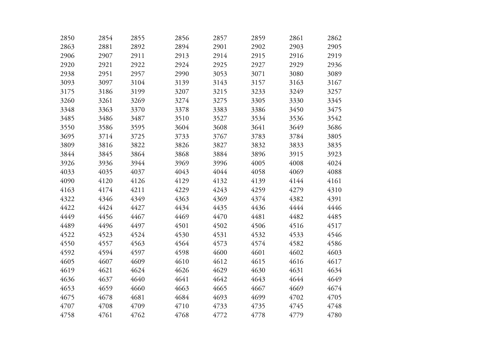| 2850 | 2854 | 2855 | 2856 | 2857 | 2859 | 2861 | 2862 |
|------|------|------|------|------|------|------|------|
| 2863 | 2881 | 2892 | 2894 | 2901 | 2902 | 2903 | 2905 |
| 2906 | 2907 | 2911 | 2913 | 2914 | 2915 | 2916 | 2919 |
| 2920 | 2921 | 2922 | 2924 | 2925 | 2927 | 2929 | 2936 |
| 2938 | 2951 | 2957 | 2990 | 3053 | 3071 | 3080 | 3089 |
| 3093 | 3097 | 3104 | 3139 | 3143 | 3157 | 3163 | 3167 |
| 3175 | 3186 | 3199 | 3207 | 3215 | 3233 | 3249 | 3257 |
| 3260 | 3261 | 3269 | 3274 | 3275 | 3305 | 3330 | 3345 |
| 3348 | 3363 | 3370 | 3378 | 3383 | 3386 | 3450 | 3475 |
| 3485 | 3486 | 3487 | 3510 | 3527 | 3534 | 3536 | 3542 |
| 3550 | 3586 | 3595 | 3604 | 3608 | 3641 | 3649 | 3686 |
| 3695 | 3714 | 3725 | 3733 | 3767 | 3783 | 3784 | 3805 |
| 3809 | 3816 | 3822 | 3826 | 3827 | 3832 | 3833 | 3835 |
| 3844 | 3845 | 3864 | 3868 | 3884 | 3896 | 3915 | 3923 |
| 3926 | 3936 | 3944 | 3969 | 3996 | 4005 | 4008 | 4024 |
| 4033 | 4035 | 4037 | 4043 | 4044 | 4058 | 4069 | 4088 |
| 4090 | 4120 | 4126 | 4129 | 4132 | 4139 | 4144 | 4161 |
| 4163 | 4174 | 4211 | 4229 | 4243 | 4259 | 4279 | 4310 |
| 4322 | 4346 | 4349 | 4363 | 4369 | 4374 | 4382 | 4391 |
| 4422 | 4424 | 4427 | 4434 | 4435 | 4436 | 4444 | 4446 |
| 4449 | 4456 | 4467 | 4469 | 4470 | 4481 | 4482 | 4485 |
| 4489 | 4496 | 4497 | 4501 | 4502 | 4506 | 4516 | 4517 |
| 4522 | 4523 | 4524 | 4530 | 4531 | 4532 | 4533 | 4546 |
| 4550 | 4557 | 4563 | 4564 | 4573 | 4574 | 4582 | 4586 |
| 4592 | 4594 | 4597 | 4598 | 4600 | 4601 | 4602 | 4603 |
| 4605 | 4607 | 4609 | 4610 | 4612 | 4615 | 4616 | 4617 |
| 4619 | 4621 | 4624 | 4626 | 4629 | 4630 | 4631 | 4634 |
| 4636 | 4637 | 4640 | 4641 | 4642 | 4643 | 4644 | 4649 |
| 4653 | 4659 | 4660 | 4663 | 4665 | 4667 | 4669 | 4674 |
| 4675 | 4678 | 4681 | 4684 | 4693 | 4699 | 4702 | 4705 |
| 4707 | 4708 | 4709 | 4710 | 4733 | 4735 | 4745 | 4748 |
| 4758 | 4761 | 4762 | 4768 | 4772 | 4778 | 4779 | 4780 |